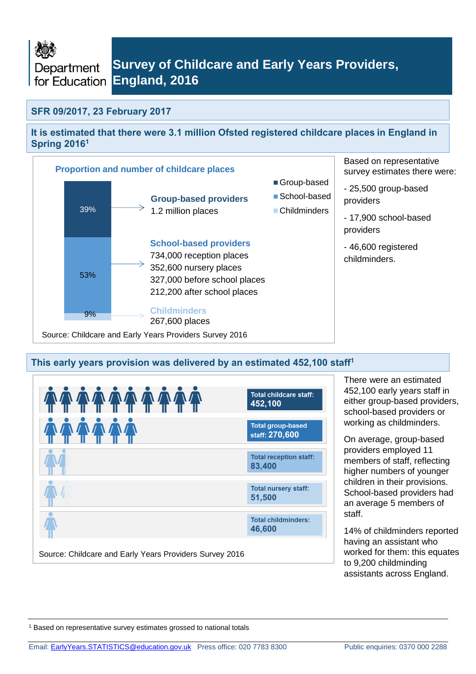

### **SFR 09/2017, 23 February 2017**

<span id="page-0-0"></span>**It is estimated that there were 3.1 million Ofsted registered childcare places in England in Spring 2016<sup>1</sup>**



### **This early years provision was delivered by an estimated 452,100 staff[1](#page-0-0)**



There were an estimated 452,100 early years staff in either group-based providers, school-based providers or working as childminders.

On average, group-based providers employed 11 members of staff, reflecting higher numbers of younger children in their provisions. School-based providers had an average 5 members of staff.

14% of childminders reported having an assistant who worked for them: this equates to 9,200 childminding assistants across England.

<sup>1</sup> Based on representative survey estimates grossed to national totals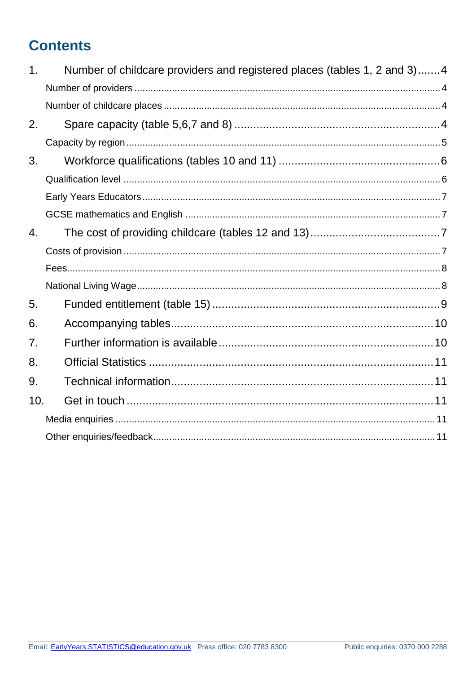# **Contents**

| $\mathbf 1$ . | Number of childcare providers and registered places (tables 1, 2 and 3)4 |
|---------------|--------------------------------------------------------------------------|
|               |                                                                          |
|               |                                                                          |
| 2.            |                                                                          |
|               |                                                                          |
| 3.            |                                                                          |
|               |                                                                          |
|               |                                                                          |
|               |                                                                          |
| 4.            |                                                                          |
|               |                                                                          |
|               |                                                                          |
|               |                                                                          |
| 5.            |                                                                          |
| 6.            |                                                                          |
| 7.            |                                                                          |
| 8.            |                                                                          |
| 9.            |                                                                          |
| 10.           |                                                                          |
|               |                                                                          |
|               |                                                                          |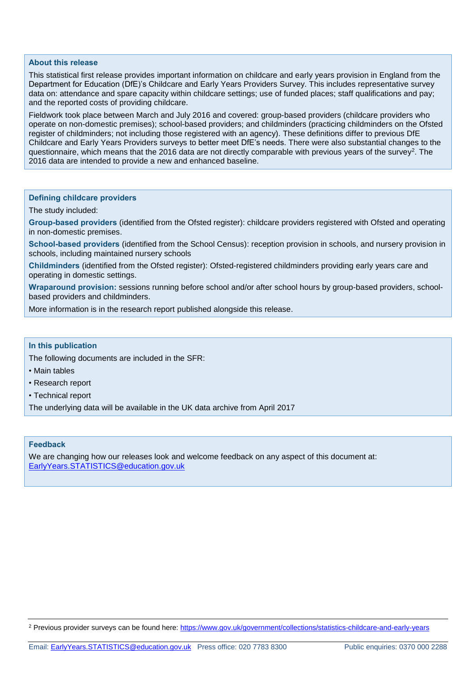#### **About this release**

This statistical first release provides important information on childcare and early years provision in England from the Department for Education (DfE)'s Childcare and Early Years Providers Survey. This includes representative survey data on: attendance and spare capacity within childcare settings; use of funded places; staff qualifications and pay; and the reported costs of providing childcare.

Fieldwork took place between March and July 2016 and covered: group-based providers (childcare providers who operate on non-domestic premises); school-based providers; and childminders (practicing childminders on the Ofsted register of childminders; not including those registered with an agency). These definitions differ to previous DfE Childcare and Early Years Providers surveys to better meet DfE's needs. There were also substantial changes to the questionnaire, which means that the 2016 data are not directly comparable with previous years of the survey<sup>2</sup>. The 2016 data are intended to provide a new and enhanced baseline.

#### **Defining childcare providers**

The study included:

**Group-based providers** (identified from the Ofsted register): childcare providers registered with Ofsted and operating in non-domestic premises.

**School-based providers** (identified from the School Census): reception provision in schools, and nursery provision in schools, including maintained nursery schools

**Childminders** (identified from the Ofsted register): Ofsted-registered childminders providing early years care and operating in domestic settings.

**Wraparound provision:** sessions running before school and/or after school hours by group-based providers, schoolbased providers and childminders.

More information is in the research report published alongside this release.

#### **In this publication**

The following documents are included in the SFR:

- Main tables
- Research report
- Technical report

The underlying data will be available in the UK data archive from April 2017

#### **Feedback**

We are changing how our releases look and welcome feedback on any aspect of this document at: [EarlyYears.STATISTICS@education.gov.uk](mailto:EarlyYears.STATISTICS@education.gov.uk)

<sup>2</sup> Previous provider surveys can be found here[: https://www.gov.uk/government/collections/statistics-childcare-and-early-years](https://www.gov.uk/government/collections/statistics-childcare-and-early-years)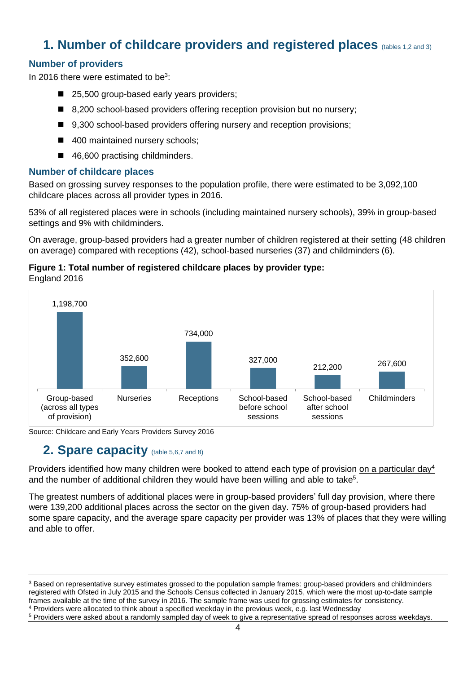# <span id="page-3-0"></span>**1. Number of childcare providers and registered places** (tables 1,2 and 3)

### <span id="page-3-1"></span>**Number of providers**

In 2016 there were estimated to be $3$ :

- 25,500 group-based early years providers;
- 8,200 school-based providers offering reception provision but no nursery;
- 9,300 school-based providers offering nursery and reception provisions;
- 400 maintained nursery schools;
- 46,600 practising childminders.

#### <span id="page-3-2"></span>**Number of childcare places**

Based on grossing survey responses to the population profile, there were estimated to be 3,092,100 childcare places across all provider types in 2016.

53% of all registered places were in schools (including maintained nursery schools), 39% in group-based settings and 9% with childminders.

On average, group-based providers had a greater number of children registered at their setting (48 children on average) compared with receptions (42), school-based nurseries (37) and childminders (6).

#### **Figure 1: Total number of registered childcare places by provider type:** England 2016



<span id="page-3-3"></span>Source: Childcare and Early Years Providers Survey 2016

# **2. Spare capacity** (table 5,6,7 and 8)

Providers identified how many children were booked to attend each type of provision on a particular day<sup>4</sup> and the number of additional children they would have been willing and able to take<sup>5</sup>.

The greatest numbers of additional places were in group-based providers' full day provision, where there were 139,200 additional places across the sector on the given day. 75% of group-based providers had some spare capacity, and the average spare capacity per provider was 13% of places that they were willing and able to offer.

<sup>&</sup>lt;sup>3</sup> Based on representative survey estimates grossed to the population sample frames: group-based providers and childminders registered with Ofsted in July 2015 and the Schools Census collected in January 2015, which were the most up-to-date sample frames available at the time of the survey in 2016. The sample frame was used for grossing estimates for consistency.

<sup>4</sup> Providers were allocated to think about a specified weekday in the previous week, e.g. last Wednesday

<sup>5</sup> Providers were asked about a randomly sampled day of week to give a representative spread of responses across weekdays.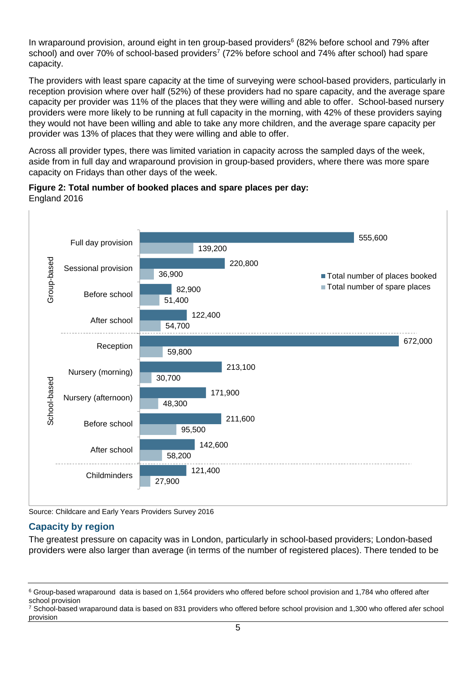In wraparound provision, around eight in ten group-based providers<sup>6</sup> (82% before school and 79% after school) and over 70% of school-based providers<sup>7</sup> (72% before school and 74% after school) had spare capacity.

The providers with least spare capacity at the time of surveying were school-based providers, particularly in reception provision where over half (52%) of these providers had no spare capacity, and the average spare capacity per provider was 11% of the places that they were willing and able to offer. School-based nursery providers were more likely to be running at full capacity in the morning, with 42% of these providers saying they would not have been willing and able to take any more children, and the average spare capacity per provider was 13% of places that they were willing and able to offer.

Across all provider types, there was limited variation in capacity across the sampled days of the week, aside from in full day and wraparound provision in group-based providers, where there was more spare capacity on Fridays than other days of the week.



**Figure 2: Total number of booked places and spare places per day:** England 2016

Source: Childcare and Early Years Providers Survey 2016

### <span id="page-4-0"></span>**Capacity by region**

The greatest pressure on capacity was in London, particularly in school-based providers; London-based providers were also larger than average (in terms of the number of registered places). There tended to be

<sup>6</sup> Group-based wraparound data is based on 1,564 providers who offered before school provision and 1,784 who offered after school provision

<sup>7</sup> School-based wraparound data is based on 831 providers who offered before school provision and 1,300 who offered afer school provision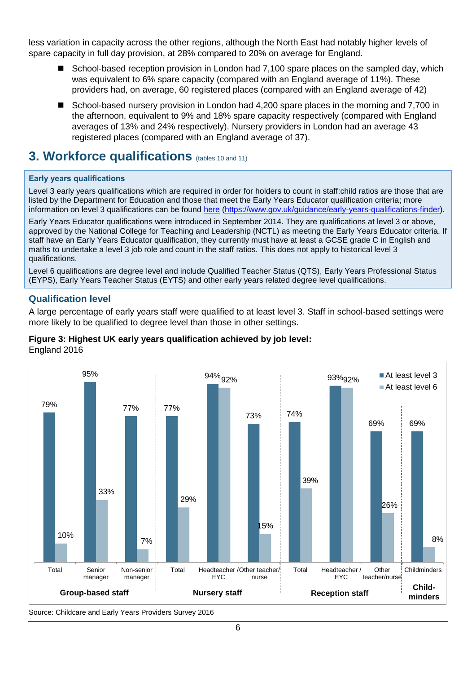less variation in capacity across the other regions, although the North East had notably higher levels of spare capacity in full day provision, at 28% compared to 20% on average for England.

- School-based reception provision in London had 7,100 spare places on the sampled day, which was equivalent to 6% spare capacity (compared with an England average of 11%). These providers had, on average, 60 registered places (compared with an England average of 42)
- School-based nursery provision in London had 4,200 spare places in the morning and 7,700 in the afternoon, equivalent to 9% and 18% spare capacity respectively (compared with England averages of 13% and 24% respectively). Nursery providers in London had an average 43 registered places (compared with an England average of 37).

# <span id="page-5-0"></span>**3. Workforce qualifications** (tables 10 and 11)

#### **Early years qualifications**

Level 3 early years qualifications which are required in order for holders to count in staff:child ratios are those that are listed by the Department for Education and those that meet the Early Years Educator qualification criteria; more information on level 3 qualifications can be found [here](https://www.gov.uk/guidance/early-years-qualifications-finder) [\(https://www.gov.uk/guidance/early-years-qualifications-finder\)](https://www.gov.uk/guidance/early-years-qualifications-finder).

Early Years Educator qualifications were introduced in September 2014. They are qualifications at level 3 or above, approved by the National College for Teaching and Leadership (NCTL) as meeting the Early Years Educator criteria. If staff have an Early Years Educator qualification, they currently must have at least a GCSE grade C in English and maths to undertake a level 3 job role and count in the staff ratios. This does not apply to historical level 3 qualifications.

Level 6 qualifications are degree level and include Qualified Teacher Status (QTS), Early Years Professional Status (EYPS), Early Years Teacher Status (EYTS) and other early years related degree level qualifications.

### <span id="page-5-1"></span>**Qualification level**

A large percentage of early years staff were qualified to at least level 3. Staff in school-based settings were more likely to be qualified to degree level than those in other settings.



#### **Figure 3: Highest UK early years qualification achieved by job level:** England 2016

Source: Childcare and Early Years Providers Survey 2016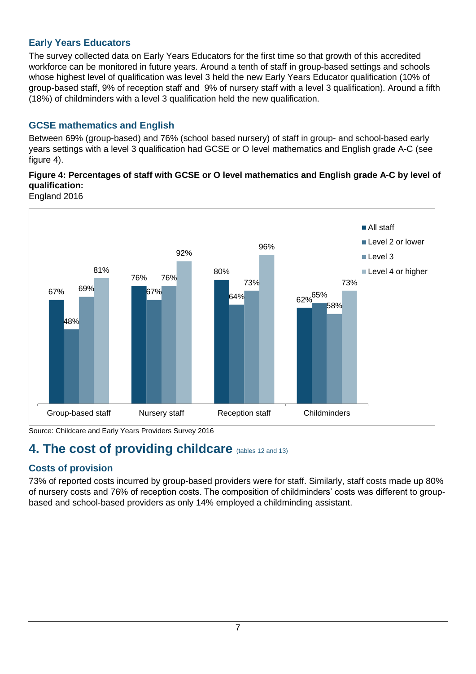## <span id="page-6-0"></span>**Early Years Educators**

The survey collected data on Early Years Educators for the first time so that growth of this accredited workforce can be monitored in future years. Around a tenth of staff in group-based settings and schools whose highest level of qualification was level 3 held the new Early Years Educator qualification (10% of group-based staff, 9% of reception staff and 9% of nursery staff with a level 3 qualification). Around a fifth (18%) of childminders with a level 3 qualification held the new qualification.

## <span id="page-6-1"></span>**GCSE mathematics and English**

Between 69% (group-based) and 76% (school based nursery) of staff in group- and school-based early years settings with a level 3 qualification had GCSE or O level mathematics and English grade A-C (see figure 4).

## **Figure 4: Percentages of staff with GCSE or O level mathematics and English grade A-C by level of qualification:**

England 2016



Source: Childcare and Early Years Providers Survey 2016

# <span id="page-6-2"></span>**4. The cost of providing childcare** (tables 12 and 13)

## <span id="page-6-3"></span>**Costs of provision**

73% of reported costs incurred by group-based providers were for staff. Similarly, staff costs made up 80% of nursery costs and 76% of reception costs. The composition of childminders' costs was different to groupbased and school-based providers as only 14% employed a childminding assistant.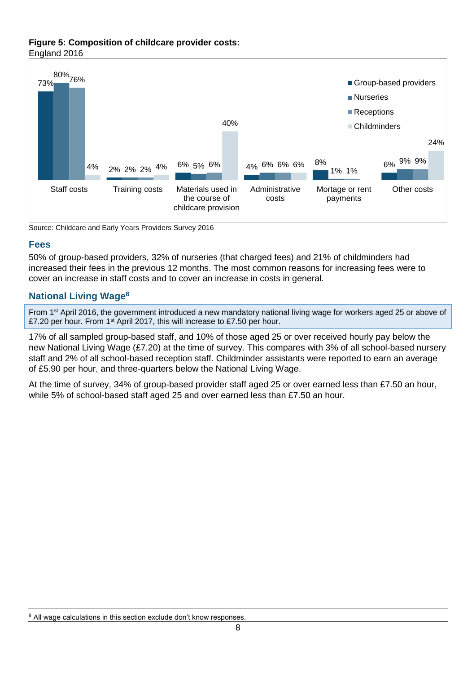#### **Figure 5: Composition of childcare provider costs:** England 2016



Source: Childcare and Early Years Providers Survey 2016

### <span id="page-7-0"></span>**Fees**

50% of group-based providers, 32% of nurseries (that charged fees) and 21% of childminders had increased their fees in the previous 12 months. The most common reasons for increasing fees were to cover an increase in staff costs and to cover an increase in costs in general.

### <span id="page-7-1"></span>**National Living Wage<sup>8</sup>**

From 1st April 2016, the government introduced a new mandatory national living wage for workers aged 25 or above of £7.20 per hour. From 1st April 2017, this will increase to £7.50 per hour.

17% of all sampled group-based staff, and 10% of those aged 25 or over received hourly pay below the new National Living Wage (£7.20) at the time of survey. This compares with 3% of all school-based nursery staff and 2% of all school-based reception staff. Childminder assistants were reported to earn an average of £5.90 per hour, and three-quarters below the National Living Wage.

At the time of survey, 34% of group-based provider staff aged 25 or over earned less than £7.50 an hour, while 5% of school-based staff aged 25 and over earned less than £7.50 an hour.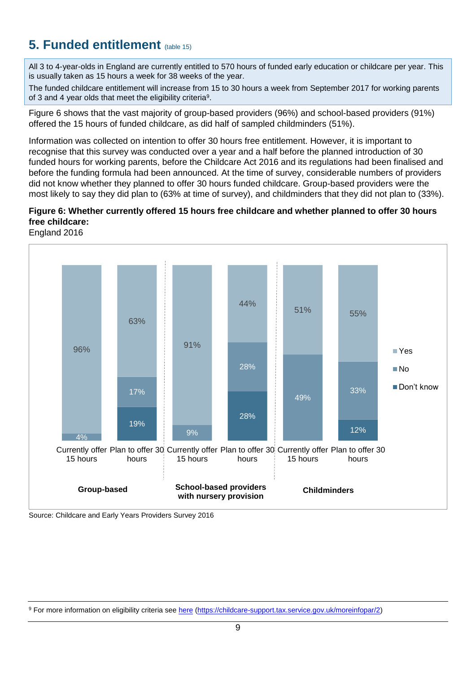# <span id="page-8-0"></span>**5. Funded entitlement** (table 15)

All 3 to 4-year-olds in England are currently entitled to 570 hours of funded early education or childcare per year. This is usually taken as 15 hours a week for 38 weeks of the year.

The funded childcare entitlement will increase from 15 to 30 hours a week from September 2017 for working parents of 3 and 4 year olds that meet the eligibility criteria<sup>9</sup>.

Figure 6 shows that the vast majority of group-based providers (96%) and school-based providers (91%) offered the 15 hours of funded childcare, as did half of sampled childminders (51%).

Information was collected on intention to offer 30 hours free entitlement. However, it is important to recognise that this survey was conducted over a year and a half before the planned introduction of 30 funded hours for working parents, before the Childcare Act 2016 and its regulations had been finalised and before the funding formula had been announced. At the time of survey, considerable numbers of providers did not know whether they planned to offer 30 hours funded childcare. Group-based providers were the most likely to say they did plan to (63% at time of survey), and childminders that they did not plan to (33%).

### **Figure 6: Whether currently offered 15 hours free childcare and whether planned to offer 30 hours free childcare:**

England 2016



Source: Childcare and Early Years Providers Survey 2016

<sup>9</sup> For more information on eligibility criteria see [here](https://childcare-support.tax.service.gov.uk/moreinfopar/2) [\(https://childcare-support.tax.service.gov.uk/moreinfopar/2\)](https://childcare-support.tax.service.gov.uk/moreinfopar/2)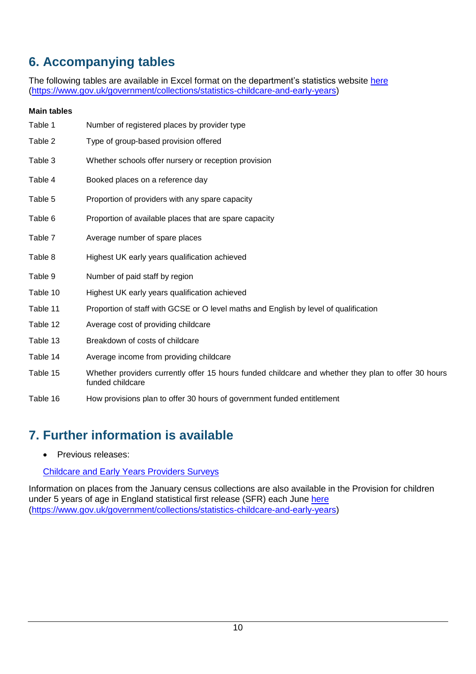# <span id="page-9-0"></span>**6. Accompanying tables**

The following tables are available in Excel format on the department's statistics website [here](https://www.gov.uk/government/collections/statistics-childcare-and-early-years) [\(https://www.gov.uk/government/collections/statistics-childcare-and-early-years\)](https://www.gov.uk/government/collections/statistics-childcare-and-early-years)

### **Main tables**

| Table 1  | Number of registered places by provider type                                                                            |
|----------|-------------------------------------------------------------------------------------------------------------------------|
| Table 2  | Type of group-based provision offered                                                                                   |
| Table 3  | Whether schools offer nursery or reception provision                                                                    |
| Table 4  | Booked places on a reference day                                                                                        |
| Table 5  | Proportion of providers with any spare capacity                                                                         |
| Table 6  | Proportion of available places that are spare capacity                                                                  |
| Table 7  | Average number of spare places                                                                                          |
| Table 8  | Highest UK early years qualification achieved                                                                           |
| Table 9  | Number of paid staff by region                                                                                          |
| Table 10 | Highest UK early years qualification achieved                                                                           |
| Table 11 | Proportion of staff with GCSE or O level maths and English by level of qualification                                    |
| Table 12 | Average cost of providing childcare                                                                                     |
| Table 13 | Breakdown of costs of childcare                                                                                         |
| Table 14 | Average income from providing childcare                                                                                 |
| Table 15 | Whether providers currently offer 15 hours funded childcare and whether they plan to offer 30 hours<br>funded childcare |
| Table 16 | How provisions plan to offer 30 hours of government funded entitlement                                                  |

# <span id="page-9-1"></span>**7. Further information is available**

• Previous releases:

### [Childcare and Early Years Providers Surveys](https://www.gov.uk/government/collections/statistics-childcare-and-early-years)

<span id="page-9-2"></span>Information on places from the January census collections are also available in the Provision for children under 5 years of age in England statistical first release (SFR) each June [here](https://www.gov.uk/government/collections/statistics-childcare-and-early-years) [\(https://www.gov.uk/government/collections/statistics-childcare-and-early-years\)](https://www.gov.uk/government/collections/statistics-childcare-and-early-years)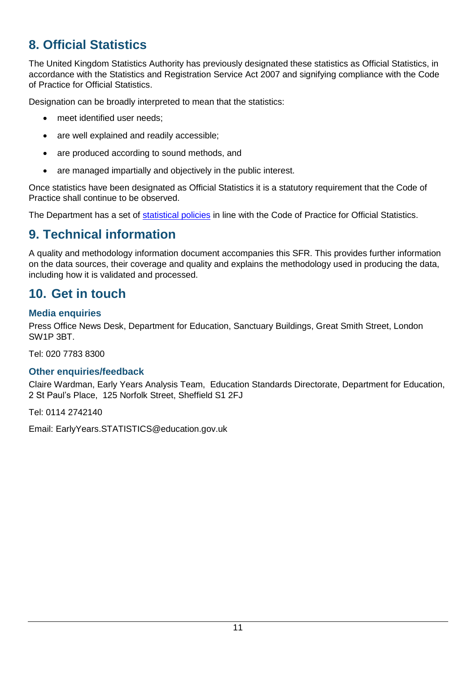# **8. Official Statistics**

The United Kingdom Statistics Authority has previously designated these statistics as Official Statistics, in accordance with the Statistics and Registration Service Act 2007 and signifying compliance with the Code of Practice for Official Statistics.

Designation can be broadly interpreted to mean that the statistics:

- meet identified user needs;
- are well explained and readily accessible;
- are produced according to sound methods, and
- are managed impartially and objectively in the public interest.

Once statistics have been designated as Official Statistics it is a statutory requirement that the Code of Practice shall continue to be observed.

The Department has a set of [statistical policies](http://www.gov.uk/government/publications/standards-for-official-statistics-published-by-the-department-for-education) in line with the Code of Practice for Official Statistics.

# <span id="page-10-0"></span>**9. Technical information**

A quality and methodology information document accompanies this SFR. This provides further information on the data sources, their coverage and quality and explains the methodology used in producing the data, including how it is validated and processed.

# <span id="page-10-1"></span>**10. Get in touch**

## <span id="page-10-2"></span>**Media enquiries**

Press Office News Desk, Department for Education, Sanctuary Buildings, Great Smith Street, London SW1P 3BT.

Tel: 020 7783 8300

### <span id="page-10-3"></span>**Other enquiries/feedback**

Claire Wardman, Early Years Analysis Team, Education Standards Directorate, Department for Education, 2 St Paul's Place, 125 Norfolk Street, Sheffield S1 2FJ

Tel: 0114 2742140

Email: EarlyYears.STATISTICS@education.gov.uk